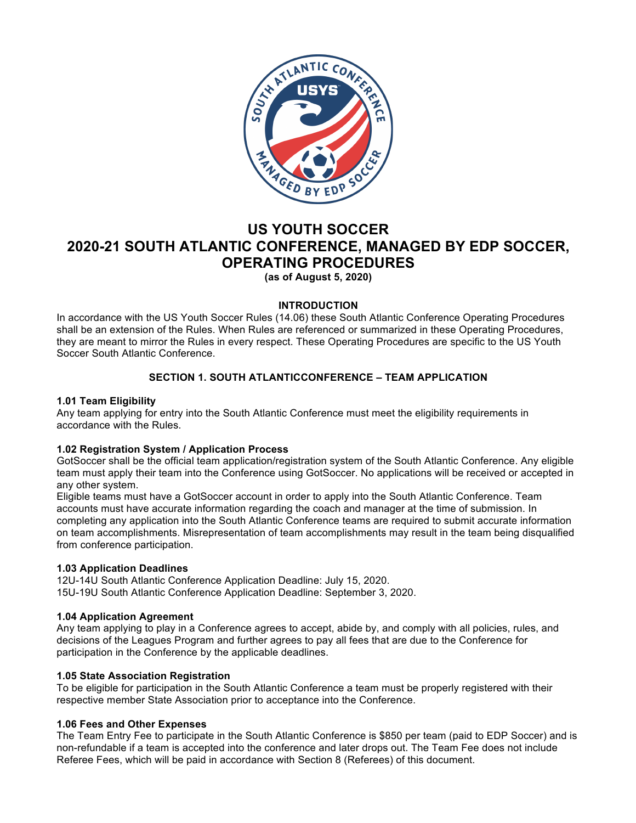

# **US YOUTH SOCCER 2020-21 SOUTH ATLANTIC CONFERENCE, MANAGED BY EDP SOCCER, OPERATING PROCEDURES**

**(as of August 5, 2020)**

# **INTRODUCTION**

In accordance with the US Youth Soccer Rules (14.06) these South Atlantic Conference Operating Procedures shall be an extension of the Rules. When Rules are referenced or summarized in these Operating Procedures, they are meant to mirror the Rules in every respect. These Operating Procedures are specific to the US Youth Soccer South Atlantic Conference.

# **SECTION 1. SOUTH ATLANTICCONFERENCE – TEAM APPLICATION**

# **1.01 Team Eligibility**

Any team applying for entry into the South Atlantic Conference must meet the eligibility requirements in accordance with the Rules.

# **1.02 Registration System / Application Process**

GotSoccer shall be the official team application/registration system of the South Atlantic Conference. Any eligible team must apply their team into the Conference using GotSoccer. No applications will be received or accepted in any other system.

Eligible teams must have a GotSoccer account in order to apply into the South Atlantic Conference. Team accounts must have accurate information regarding the coach and manager at the time of submission. In completing any application into the South Atlantic Conference teams are required to submit accurate information on team accomplishments. Misrepresentation of team accomplishments may result in the team being disqualified from conference participation.

# **1.03 Application Deadlines**

12U-14U South Atlantic Conference Application Deadline: July 15, 2020. 15U-19U South Atlantic Conference Application Deadline: September 3, 2020.

# **1.04 Application Agreement**

Any team applying to play in a Conference agrees to accept, abide by, and comply with all policies, rules, and decisions of the Leagues Program and further agrees to pay all fees that are due to the Conference for participation in the Conference by the applicable deadlines.

# **1.05 State Association Registration**

To be eligible for participation in the South Atlantic Conference a team must be properly registered with their respective member State Association prior to acceptance into the Conference.

# **1.06 Fees and Other Expenses**

The Team Entry Fee to participate in the South Atlantic Conference is \$850 per team (paid to EDP Soccer) and is non-refundable if a team is accepted into the conference and later drops out. The Team Fee does not include Referee Fees, which will be paid in accordance with Section 8 (Referees) of this document.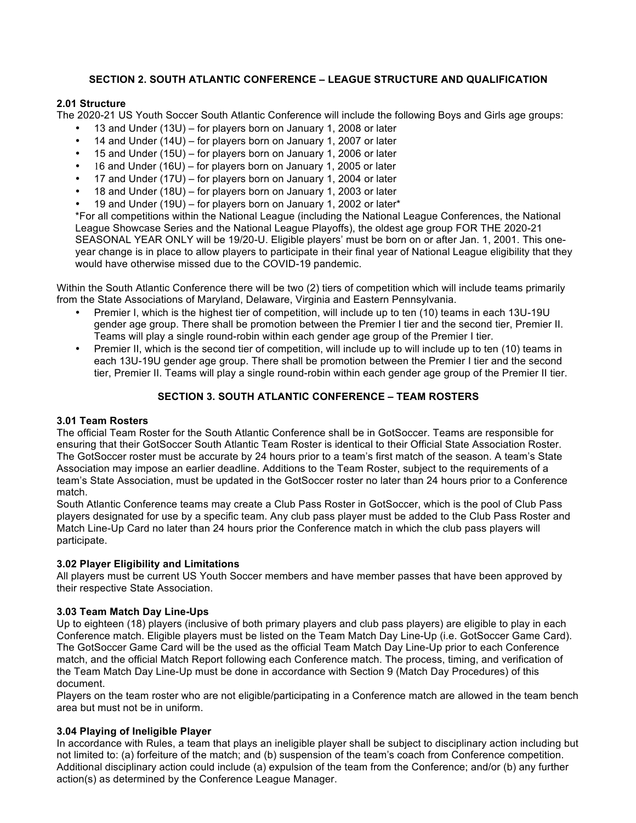# **SECTION 2. SOUTH ATLANTIC CONFERENCE – LEAGUE STRUCTURE AND QUALIFICATION**

## **2.01 Structure**

The 2020-21 US Youth Soccer South Atlantic Conference will include the following Boys and Girls age groups:

- 13 and Under (13U) for players born on January 1, 2008 or later
- 14 and Under (14U) for players born on January 1, 2007 or later
- 15 and Under (15U) for players born on January 1, 2006 or later
- 16 and Under (16U) for players born on January 1, 2005 or later
- 17 and Under (17U) for players born on January 1, 2004 or later
- 18 and Under (18U) for players born on January 1, 2003 or later
- 19 and Under (19U) for players born on January 1, 2002 or later\*

\*For all competitions within the National League (including the National League Conferences, the National League Showcase Series and the National League Playoffs), the oldest age group FOR THE 2020-21 SEASONAL YEAR ONLY will be 19/20-U. Eligible players' must be born on or after Jan. 1, 2001. This oneyear change is in place to allow players to participate in their final year of National League eligibility that they would have otherwise missed due to the COVID-19 pandemic.

Within the South Atlantic Conference there will be two (2) tiers of competition which will include teams primarily from the State Associations of Maryland, Delaware, Virginia and Eastern Pennsylvania.

- Premier I, which is the highest tier of competition, will include up to ten (10) teams in each 13U-19U gender age group. There shall be promotion between the Premier I tier and the second tier, Premier II. Teams will play a single round-robin within each gender age group of the Premier I tier.
- Premier II, which is the second tier of competition, will include up to will include up to ten (10) teams in each 13U-19U gender age group. There shall be promotion between the Premier I tier and the second tier, Premier II. Teams will play a single round-robin within each gender age group of the Premier II tier.

# **SECTION 3. SOUTH ATLANTIC CONFERENCE – TEAM ROSTERS**

## **3.01 Team Rosters**

The official Team Roster for the South Atlantic Conference shall be in GotSoccer. Teams are responsible for ensuring that their GotSoccer South Atlantic Team Roster is identical to their Official State Association Roster. The GotSoccer roster must be accurate by 24 hours prior to a team's first match of the season. A team's State Association may impose an earlier deadline. Additions to the Team Roster, subject to the requirements of a team's State Association, must be updated in the GotSoccer roster no later than 24 hours prior to a Conference match.

South Atlantic Conference teams may create a Club Pass Roster in GotSoccer, which is the pool of Club Pass players designated for use by a specific team. Any club pass player must be added to the Club Pass Roster and Match Line-Up Card no later than 24 hours prior the Conference match in which the club pass players will participate.

## **3.02 Player Eligibility and Limitations**

All players must be current US Youth Soccer members and have member passes that have been approved by their respective State Association.

## **3.03 Team Match Day Line-Ups**

Up to eighteen (18) players (inclusive of both primary players and club pass players) are eligible to play in each Conference match. Eligible players must be listed on the Team Match Day Line-Up (i.e. GotSoccer Game Card). The GotSoccer Game Card will be the used as the official Team Match Day Line-Up prior to each Conference match, and the official Match Report following each Conference match. The process, timing, and verification of the Team Match Day Line-Up must be done in accordance with Section 9 (Match Day Procedures) of this document.

Players on the team roster who are not eligible/participating in a Conference match are allowed in the team bench area but must not be in uniform.

## **3.04 Playing of Ineligible Player**

In accordance with Rules, a team that plays an ineligible player shall be subject to disciplinary action including but not limited to: (a) forfeiture of the match; and (b) suspension of the team's coach from Conference competition. Additional disciplinary action could include (a) expulsion of the team from the Conference; and/or (b) any further action(s) as determined by the Conference League Manager.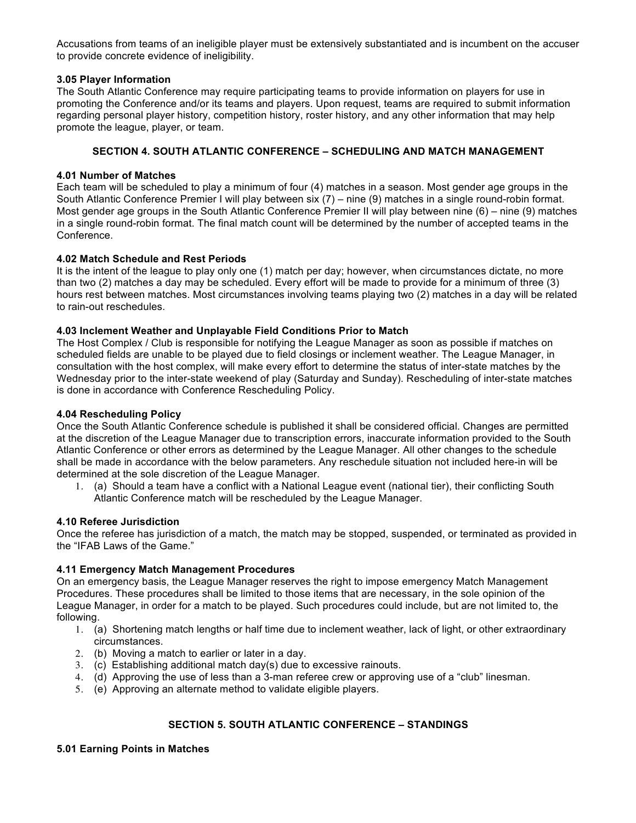Accusations from teams of an ineligible player must be extensively substantiated and is incumbent on the accuser to provide concrete evidence of ineligibility.

## **3.05 Player Information**

The South Atlantic Conference may require participating teams to provide information on players for use in promoting the Conference and/or its teams and players. Upon request, teams are required to submit information regarding personal player history, competition history, roster history, and any other information that may help promote the league, player, or team.

# **SECTION 4. SOUTH ATLANTIC CONFERENCE – SCHEDULING AND MATCH MANAGEMENT**

## **4.01 Number of Matches**

Each team will be scheduled to play a minimum of four (4) matches in a season. Most gender age groups in the South Atlantic Conference Premier I will play between six (7) – nine (9) matches in a single round-robin format. Most gender age groups in the South Atlantic Conference Premier II will play between nine (6) – nine (9) matches in a single round-robin format. The final match count will be determined by the number of accepted teams in the Conference.

## **4.02 Match Schedule and Rest Periods**

It is the intent of the league to play only one (1) match per day; however, when circumstances dictate, no more than two (2) matches a day may be scheduled. Every effort will be made to provide for a minimum of three (3) hours rest between matches. Most circumstances involving teams playing two (2) matches in a day will be related to rain-out reschedules.

## **4.03 Inclement Weather and Unplayable Field Conditions Prior to Match**

The Host Complex / Club is responsible for notifying the League Manager as soon as possible if matches on scheduled fields are unable to be played due to field closings or inclement weather. The League Manager, in consultation with the host complex, will make every effort to determine the status of inter-state matches by the Wednesday prior to the inter-state weekend of play (Saturday and Sunday). Rescheduling of inter-state matches is done in accordance with Conference Rescheduling Policy.

## **4.04 Rescheduling Policy**

Once the South Atlantic Conference schedule is published it shall be considered official. Changes are permitted at the discretion of the League Manager due to transcription errors, inaccurate information provided to the South Atlantic Conference or other errors as determined by the League Manager. All other changes to the schedule shall be made in accordance with the below parameters. Any reschedule situation not included here-in will be determined at the sole discretion of the League Manager.

1. (a) Should a team have a conflict with a National League event (national tier), their conflicting South Atlantic Conference match will be rescheduled by the League Manager.

## **4.10 Referee Jurisdiction**

Once the referee has jurisdiction of a match, the match may be stopped, suspended, or terminated as provided in the "IFAB Laws of the Game."

# **4.11 Emergency Match Management Procedures**

On an emergency basis, the League Manager reserves the right to impose emergency Match Management Procedures. These procedures shall be limited to those items that are necessary, in the sole opinion of the League Manager, in order for a match to be played. Such procedures could include, but are not limited to, the following.

- 1. (a) Shortening match lengths or half time due to inclement weather, lack of light, or other extraordinary circumstances.
- 2. (b) Moving a match to earlier or later in a day.
- 3. (c) Establishing additional match day(s) due to excessive rainouts.
- 4. (d) Approving the use of less than a 3-man referee crew or approving use of a "club" linesman.
- 5. (e) Approving an alternate method to validate eligible players.

# **SECTION 5. SOUTH ATLANTIC CONFERENCE – STANDINGS**

## **5.01 Earning Points in Matches**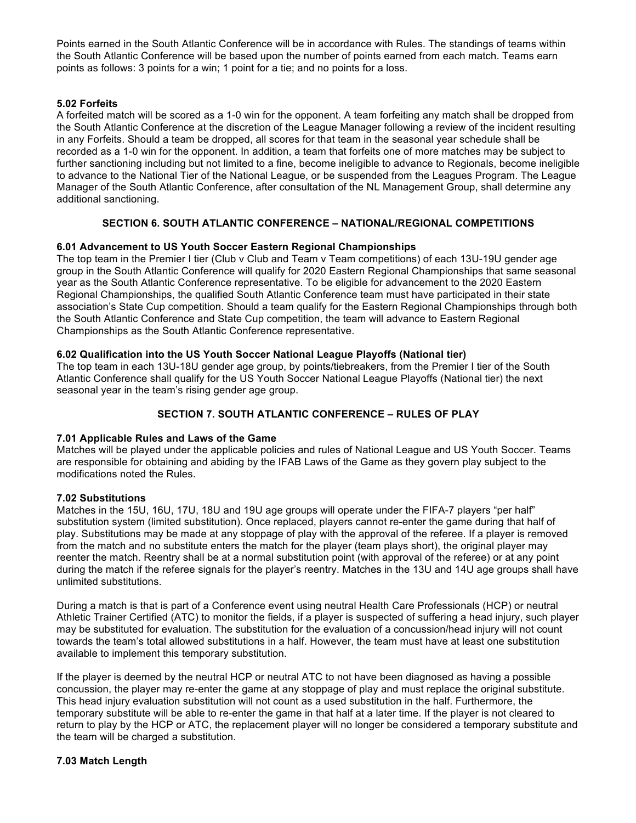Points earned in the South Atlantic Conference will be in accordance with Rules. The standings of teams within the South Atlantic Conference will be based upon the number of points earned from each match. Teams earn points as follows: 3 points for a win; 1 point for a tie; and no points for a loss.

## **5.02 Forfeits**

A forfeited match will be scored as a 1-0 win for the opponent. A team forfeiting any match shall be dropped from the South Atlantic Conference at the discretion of the League Manager following a review of the incident resulting in any Forfeits. Should a team be dropped, all scores for that team in the seasonal year schedule shall be recorded as a 1-0 win for the opponent. In addition, a team that forfeits one of more matches may be subject to further sanctioning including but not limited to a fine, become ineligible to advance to Regionals, become ineligible to advance to the National Tier of the National League, or be suspended from the Leagues Program. The League Manager of the South Atlantic Conference, after consultation of the NL Management Group, shall determine any additional sanctioning.

# **SECTION 6. SOUTH ATLANTIC CONFERENCE – NATIONAL/REGIONAL COMPETITIONS**

## **6.01 Advancement to US Youth Soccer Eastern Regional Championships**

The top team in the Premier I tier (Club v Club and Team v Team competitions) of each 13U-19U gender age group in the South Atlantic Conference will qualify for 2020 Eastern Regional Championships that same seasonal year as the South Atlantic Conference representative. To be eligible for advancement to the 2020 Eastern Regional Championships, the qualified South Atlantic Conference team must have participated in their state association's State Cup competition. Should a team qualify for the Eastern Regional Championships through both the South Atlantic Conference and State Cup competition, the team will advance to Eastern Regional Championships as the South Atlantic Conference representative.

## **6.02 Qualification into the US Youth Soccer National League Playoffs (National tier)**

The top team in each 13U-18U gender age group, by points/tiebreakers, from the Premier I tier of the South Atlantic Conference shall qualify for the US Youth Soccer National League Playoffs (National tier) the next seasonal year in the team's rising gender age group.

# **SECTION 7. SOUTH ATLANTIC CONFERENCE – RULES OF PLAY**

## **7.01 Applicable Rules and Laws of the Game**

Matches will be played under the applicable policies and rules of National League and US Youth Soccer. Teams are responsible for obtaining and abiding by the IFAB Laws of the Game as they govern play subject to the modifications noted the Rules.

## **7.02 Substitutions**

Matches in the 15U, 16U, 17U, 18U and 19U age groups will operate under the FIFA-7 players "per half" substitution system (limited substitution). Once replaced, players cannot re-enter the game during that half of play. Substitutions may be made at any stoppage of play with the approval of the referee. If a player is removed from the match and no substitute enters the match for the player (team plays short), the original player may reenter the match. Reentry shall be at a normal substitution point (with approval of the referee) or at any point during the match if the referee signals for the player's reentry. Matches in the 13U and 14U age groups shall have unlimited substitutions.

During a match is that is part of a Conference event using neutral Health Care Professionals (HCP) or neutral Athletic Trainer Certified (ATC) to monitor the fields, if a player is suspected of suffering a head injury, such player may be substituted for evaluation. The substitution for the evaluation of a concussion/head injury will not count towards the team's total allowed substitutions in a half. However, the team must have at least one substitution available to implement this temporary substitution.

If the player is deemed by the neutral HCP or neutral ATC to not have been diagnosed as having a possible concussion, the player may re-enter the game at any stoppage of play and must replace the original substitute. This head injury evaluation substitution will not count as a used substitution in the half. Furthermore, the temporary substitute will be able to re-enter the game in that half at a later time. If the player is not cleared to return to play by the HCP or ATC, the replacement player will no longer be considered a temporary substitute and the team will be charged a substitution.

## **7.03 Match Length**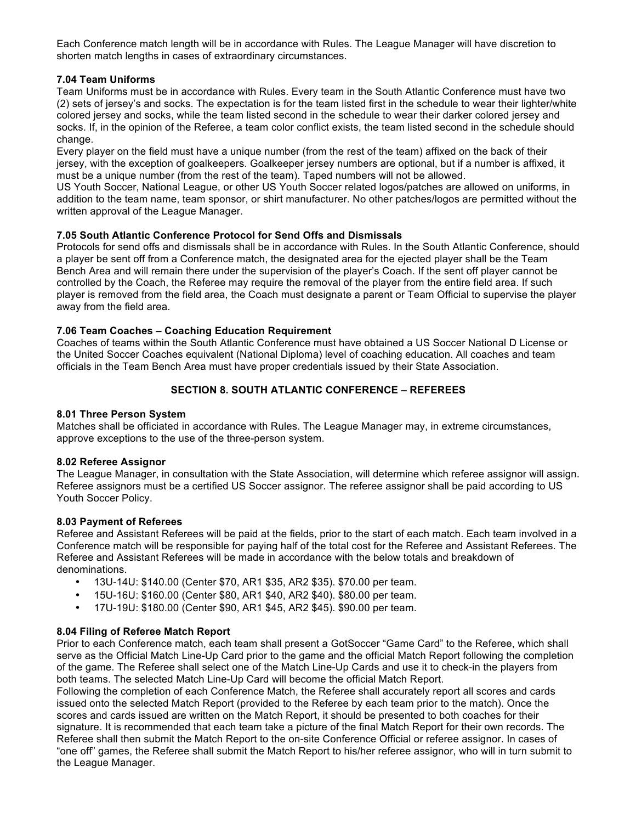Each Conference match length will be in accordance with Rules. The League Manager will have discretion to shorten match lengths in cases of extraordinary circumstances.

## **7.04 Team Uniforms**

Team Uniforms must be in accordance with Rules. Every team in the South Atlantic Conference must have two (2) sets of jersey's and socks. The expectation is for the team listed first in the schedule to wear their lighter/white colored jersey and socks, while the team listed second in the schedule to wear their darker colored jersey and socks. If, in the opinion of the Referee, a team color conflict exists, the team listed second in the schedule should change.

Every player on the field must have a unique number (from the rest of the team) affixed on the back of their jersey, with the exception of goalkeepers. Goalkeeper jersey numbers are optional, but if a number is affixed, it must be a unique number (from the rest of the team). Taped numbers will not be allowed.

US Youth Soccer, National League, or other US Youth Soccer related logos/patches are allowed on uniforms, in addition to the team name, team sponsor, or shirt manufacturer. No other patches/logos are permitted without the written approval of the League Manager.

## **7.05 South Atlantic Conference Protocol for Send Offs and Dismissals**

Protocols for send offs and dismissals shall be in accordance with Rules. In the South Atlantic Conference, should a player be sent off from a Conference match, the designated area for the ejected player shall be the Team Bench Area and will remain there under the supervision of the player's Coach. If the sent off player cannot be controlled by the Coach, the Referee may require the removal of the player from the entire field area. If such player is removed from the field area, the Coach must designate a parent or Team Official to supervise the player away from the field area.

## **7.06 Team Coaches – Coaching Education Requirement**

Coaches of teams within the South Atlantic Conference must have obtained a US Soccer National D License or the United Soccer Coaches equivalent (National Diploma) level of coaching education. All coaches and team officials in the Team Bench Area must have proper credentials issued by their State Association.

# **SECTION 8. SOUTH ATLANTIC CONFERENCE – REFEREES**

## **8.01 Three Person System**

Matches shall be officiated in accordance with Rules. The League Manager may, in extreme circumstances, approve exceptions to the use of the three-person system.

## **8.02 Referee Assignor**

The League Manager, in consultation with the State Association, will determine which referee assignor will assign. Referee assignors must be a certified US Soccer assignor. The referee assignor shall be paid according to US Youth Soccer Policy.

## **8.03 Payment of Referees**

Referee and Assistant Referees will be paid at the fields, prior to the start of each match. Each team involved in a Conference match will be responsible for paying half of the total cost for the Referee and Assistant Referees. The Referee and Assistant Referees will be made in accordance with the below totals and breakdown of denominations.

- 13U-14U: \$140.00 (Center \$70, AR1 \$35, AR2 \$35). \$70.00 per team.
- 15U-16U: \$160.00 (Center \$80, AR1 \$40, AR2 \$40). \$80.00 per team.
- 17U-19U: \$180.00 (Center \$90, AR1 \$45, AR2 \$45). \$90.00 per team.

# **8.04 Filing of Referee Match Report**

Prior to each Conference match, each team shall present a GotSoccer "Game Card" to the Referee, which shall serve as the Official Match Line-Up Card prior to the game and the official Match Report following the completion of the game. The Referee shall select one of the Match Line-Up Cards and use it to check-in the players from both teams. The selected Match Line-Up Card will become the official Match Report.

Following the completion of each Conference Match, the Referee shall accurately report all scores and cards issued onto the selected Match Report (provided to the Referee by each team prior to the match). Once the scores and cards issued are written on the Match Report, it should be presented to both coaches for their signature. It is recommended that each team take a picture of the final Match Report for their own records. The Referee shall then submit the Match Report to the on-site Conference Official or referee assignor. In cases of "one off" games, the Referee shall submit the Match Report to his/her referee assignor, who will in turn submit to the League Manager.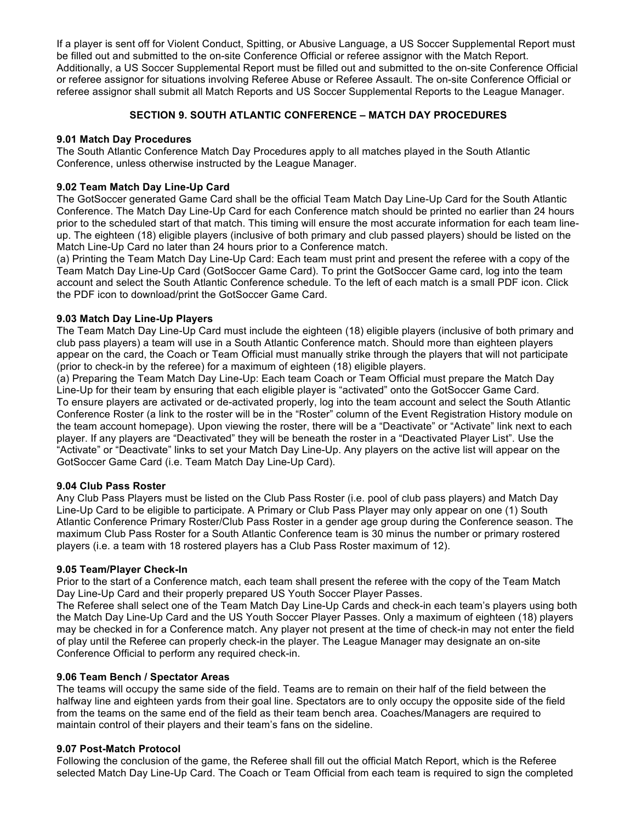If a player is sent off for Violent Conduct, Spitting, or Abusive Language, a US Soccer Supplemental Report must be filled out and submitted to the on-site Conference Official or referee assignor with the Match Report. Additionally, a US Soccer Supplemental Report must be filled out and submitted to the on-site Conference Official or referee assignor for situations involving Referee Abuse or Referee Assault. The on-site Conference Official or referee assignor shall submit all Match Reports and US Soccer Supplemental Reports to the League Manager.

# **SECTION 9. SOUTH ATLANTIC CONFERENCE – MATCH DAY PROCEDURES**

## **9.01 Match Day Procedures**

The South Atlantic Conference Match Day Procedures apply to all matches played in the South Atlantic Conference, unless otherwise instructed by the League Manager.

## **9.02 Team Match Day Line-Up Card**

The GotSoccer generated Game Card shall be the official Team Match Day Line-Up Card for the South Atlantic Conference. The Match Day Line-Up Card for each Conference match should be printed no earlier than 24 hours prior to the scheduled start of that match. This timing will ensure the most accurate information for each team lineup. The eighteen (18) eligible players (inclusive of both primary and club passed players) should be listed on the Match Line-Up Card no later than 24 hours prior to a Conference match.

(a) Printing the Team Match Day Line-Up Card: Each team must print and present the referee with a copy of the Team Match Day Line-Up Card (GotSoccer Game Card). To print the GotSoccer Game card, log into the team account and select the South Atlantic Conference schedule. To the left of each match is a small PDF icon. Click the PDF icon to download/print the GotSoccer Game Card.

## **9.03 Match Day Line-Up Players**

The Team Match Day Line-Up Card must include the eighteen (18) eligible players (inclusive of both primary and club pass players) a team will use in a South Atlantic Conference match. Should more than eighteen players appear on the card, the Coach or Team Official must manually strike through the players that will not participate (prior to check-in by the referee) for a maximum of eighteen (18) eligible players.

(a) Preparing the Team Match Day Line-Up: Each team Coach or Team Official must prepare the Match Day Line-Up for their team by ensuring that each eligible player is "activated" onto the GotSoccer Game Card. To ensure players are activated or de-activated properly, log into the team account and select the South Atlantic Conference Roster (a link to the roster will be in the "Roster" column of the Event Registration History module on the team account homepage). Upon viewing the roster, there will be a "Deactivate" or "Activate" link next to each player. If any players are "Deactivated" they will be beneath the roster in a "Deactivated Player List". Use the "Activate" or "Deactivate" links to set your Match Day Line-Up. Any players on the active list will appear on the GotSoccer Game Card (i.e. Team Match Day Line-Up Card).

## **9.04 Club Pass Roster**

Any Club Pass Players must be listed on the Club Pass Roster (i.e. pool of club pass players) and Match Day Line-Up Card to be eligible to participate. A Primary or Club Pass Player may only appear on one (1) South Atlantic Conference Primary Roster/Club Pass Roster in a gender age group during the Conference season. The maximum Club Pass Roster for a South Atlantic Conference team is 30 minus the number or primary rostered players (i.e. a team with 18 rostered players has a Club Pass Roster maximum of 12).

## **9.05 Team/Player Check-In**

Prior to the start of a Conference match, each team shall present the referee with the copy of the Team Match Day Line-Up Card and their properly prepared US Youth Soccer Player Passes.

The Referee shall select one of the Team Match Day Line-Up Cards and check-in each team's players using both the Match Day Line-Up Card and the US Youth Soccer Player Passes. Only a maximum of eighteen (18) players may be checked in for a Conference match. Any player not present at the time of check-in may not enter the field of play until the Referee can properly check-in the player. The League Manager may designate an on-site Conference Official to perform any required check-in.

## **9.06 Team Bench / Spectator Areas**

The teams will occupy the same side of the field. Teams are to remain on their half of the field between the halfway line and eighteen yards from their goal line. Spectators are to only occupy the opposite side of the field from the teams on the same end of the field as their team bench area. Coaches/Managers are required to maintain control of their players and their team's fans on the sideline.

## **9.07 Post-Match Protocol**

Following the conclusion of the game, the Referee shall fill out the official Match Report, which is the Referee selected Match Day Line-Up Card. The Coach or Team Official from each team is required to sign the completed